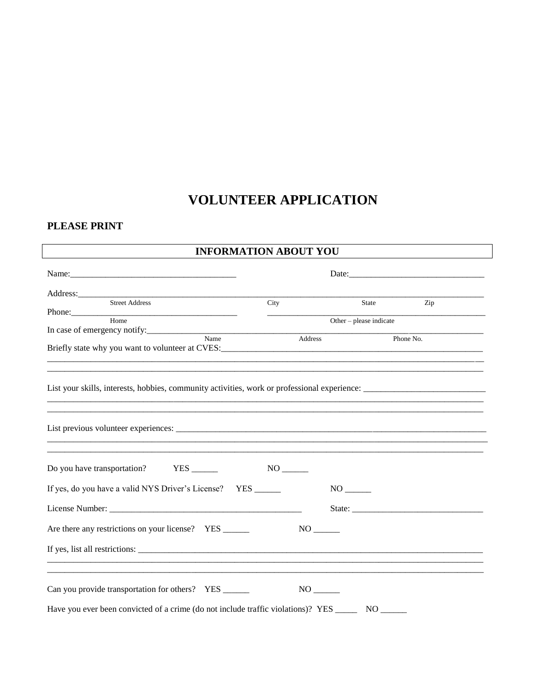# **VOLUNTEER APPLICATION**

### PLEASE PRINT

## **INFORMATION ABOUT YOU**

| Name:                                                                                                          |                         |                     |           |
|----------------------------------------------------------------------------------------------------------------|-------------------------|---------------------|-----------|
| Address: 2008 and 2008 and 2008 and 2008 and 2008 and 2008 and 2008 and 2008 and 2008 and 2008 and 2008 and 20 |                         |                     |           |
| Street Address                                                                                                 | City                    | State               | Zip       |
| Phone: Home                                                                                                    |                         |                     |           |
| In case of emergency notify:                                                                                   | Other - please indicate |                     |           |
| $\overline{\text{Name}}$                                                                                       | Address                 |                     | Phone No. |
|                                                                                                                |                         |                     |           |
|                                                                                                                |                         |                     |           |
|                                                                                                                |                         |                     |           |
|                                                                                                                |                         |                     |           |
|                                                                                                                |                         |                     |           |
|                                                                                                                |                         |                     |           |
|                                                                                                                |                         |                     |           |
|                                                                                                                |                         |                     |           |
|                                                                                                                |                         |                     |           |
|                                                                                                                |                         |                     |           |
| Do you have transportation? YES _______                                                                        |                         |                     |           |
|                                                                                                                |                         |                     |           |
| If yes, do you have a valid NYS Driver's License? YES _____                                                    |                         |                     |           |
|                                                                                                                |                         |                     |           |
|                                                                                                                |                         |                     |           |
| Are there any restrictions on your license? YES _____                                                          | $NO$ <sub>-------</sub> |                     |           |
|                                                                                                                |                         |                     |           |
|                                                                                                                |                         |                     |           |
|                                                                                                                |                         |                     |           |
|                                                                                                                |                         |                     |           |
| Can you provide transportation for others? YES _____                                                           |                         |                     |           |
|                                                                                                                |                         |                     |           |
| Have you ever been convicted of a crime (do not include traffic violations)? YES                               |                         | $NO$ <sub>---</sub> |           |